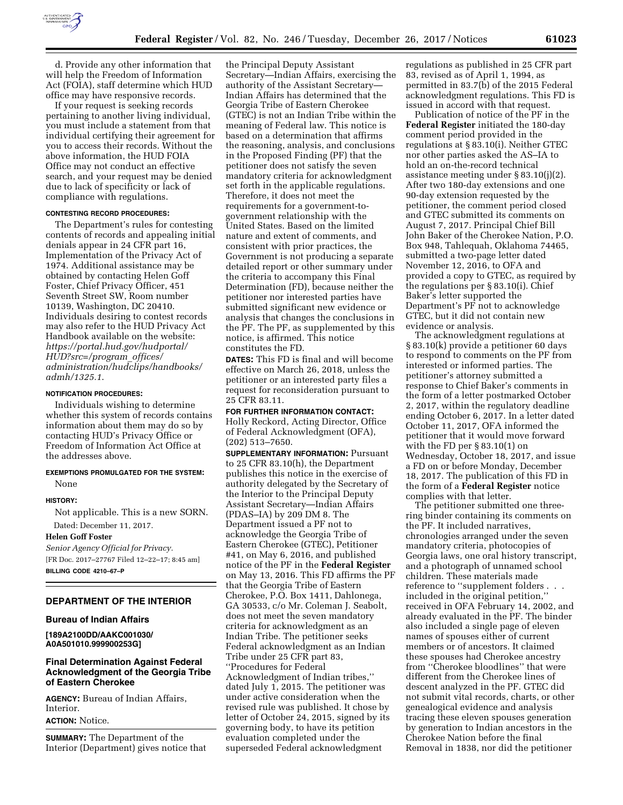

d. Provide any other information that will help the Freedom of Information Act (FOIA), staff determine which HUD office may have responsive records.

If your request is seeking records pertaining to another living individual, you must include a statement from that individual certifying their agreement for you to access their records. Without the above information, the HUD FOIA Office may not conduct an effective search, and your request may be denied due to lack of specificity or lack of compliance with regulations.

#### **CONTESTING RECORD PROCEDURES:**

The Department's rules for contesting contents of records and appealing initial denials appear in 24 CFR part 16, Implementation of the Privacy Act of 1974. Additional assistance may be obtained by contacting Helen Goff Foster, Chief Privacy Officer, 451 Seventh Street SW, Room number 10139, Washington, DC 20410. Individuals desiring to contest records may also refer to the HUD Privacy Act Handbook available on the website: *[https://portal.hud.gov/hudportal/](https://portal.hud.gov/hudportal/HUD?src=/program_offices/administration/hudclips/handbooks/admh/1325.1) [HUD?src=/program](https://portal.hud.gov/hudportal/HUD?src=/program_offices/administration/hudclips/handbooks/admh/1325.1)*\_*offices/ [administration/hudclips/handbooks/](https://portal.hud.gov/hudportal/HUD?src=/program_offices/administration/hudclips/handbooks/admh/1325.1)  [admh/1325.1](https://portal.hud.gov/hudportal/HUD?src=/program_offices/administration/hudclips/handbooks/admh/1325.1)*.

#### **NOTIFICATION PROCEDURES:**

Individuals wishing to determine whether this system of records contains information about them may do so by contacting HUD's Privacy Office or Freedom of Information Act Office at the addresses above.

## **EXEMPTIONS PROMULGATED FOR THE SYSTEM:**  None

# **HISTORY:**

Not applicable. This is a new SORN. Dated: December 11, 2017.

## **Helen Goff Foster**

*Senior Agency Official for Privacy.*  [FR Doc. 2017–27767 Filed 12–22–17; 8:45 am] **BILLING CODE 4210–67–P** 

#### **DEPARTMENT OF THE INTERIOR**

## **Bureau of Indian Affairs**

**[189A2100DD/AAKC001030/ A0A501010.999900253G]** 

# **Final Determination Against Federal Acknowledgment of the Georgia Tribe of Eastern Cherokee**

**AGENCY:** Bureau of Indian Affairs, Interior. **ACTION:** Notice.

**SUMMARY:** The Department of the Interior (Department) gives notice that

the Principal Deputy Assistant Secretary—Indian Affairs, exercising the authority of the Assistant Secretary— Indian Affairs has determined that the Georgia Tribe of Eastern Cherokee (GTEC) is not an Indian Tribe within the meaning of Federal law. This notice is based on a determination that affirms the reasoning, analysis, and conclusions in the Proposed Finding (PF) that the petitioner does not satisfy the seven mandatory criteria for acknowledgment set forth in the applicable regulations. Therefore, it does not meet the requirements for a government-togovernment relationship with the United States. Based on the limited nature and extent of comments, and consistent with prior practices, the Government is not producing a separate detailed report or other summary under the criteria to accompany this Final Determination (FD), because neither the petitioner nor interested parties have submitted significant new evidence or analysis that changes the conclusions in the PF. The PF, as supplemented by this notice, is affirmed. This notice constitutes the FD.

**DATES:** This FD is final and will become effective on March 26, 2018, unless the petitioner or an interested party files a request for reconsideration pursuant to 25 CFR 83.11.

**FOR FURTHER INFORMATION CONTACT:**  Holly Reckord, Acting Director, Office of Federal Acknowledgment (OFA), (202) 513–7650.

**SUPPLEMENTARY INFORMATION:** Pursuant to 25 CFR 83.10(h), the Department publishes this notice in the exercise of authority delegated by the Secretary of the Interior to the Principal Deputy Assistant Secretary—Indian Affairs (PDAS–IA) by 209 DM 8. The Department issued a PF not to acknowledge the Georgia Tribe of Eastern Cherokee (GTEC), Petitioner #41, on May 6, 2016, and published notice of the PF in the **Federal Register**  on May 13, 2016. This FD affirms the PF that the Georgia Tribe of Eastern Cherokee, P.O. Box 1411, Dahlonega, GA 30533, c/o Mr. Coleman J. Seabolt, does not meet the seven mandatory criteria for acknowledgment as an Indian Tribe. The petitioner seeks Federal acknowledgment as an Indian Tribe under 25 CFR part 83, ''Procedures for Federal Acknowledgment of Indian tribes,'' dated July 1, 2015. The petitioner was under active consideration when the revised rule was published. It chose by letter of October 24, 2015, signed by its governing body, to have its petition evaluation completed under the superseded Federal acknowledgment

regulations as published in 25 CFR part 83, revised as of April 1, 1994, as permitted in 83.7(b) of the 2015 Federal acknowledgment regulations. This FD is issued in accord with that request.

Publication of notice of the PF in the **Federal Register** initiated the 180-day comment period provided in the regulations at § 83.10(i). Neither GTEC nor other parties asked the AS–IA to hold an on-the-record technical assistance meeting under § 83.10(j)(2). After two 180-day extensions and one 90-day extension requested by the petitioner, the comment period closed and GTEC submitted its comments on August 7, 2017. Principal Chief Bill John Baker of the Cherokee Nation, P.O. Box 948, Tahlequah, Oklahoma 74465, submitted a two-page letter dated November 12, 2016, to OFA and provided a copy to GTEC, as required by the regulations per § 83.10(i). Chief Baker's letter supported the Department's PF not to acknowledge GTEC, but it did not contain new evidence or analysis.

The acknowledgment regulations at § 83.10(k) provide a petitioner 60 days to respond to comments on the PF from interested or informed parties. The petitioner's attorney submitted a response to Chief Baker's comments in the form of a letter postmarked October 2, 2017, within the regulatory deadline ending October 6, 2017. In a letter dated October 11, 2017, OFA informed the petitioner that it would move forward with the FD per § 83.10(1) on Wednesday, October 18, 2017, and issue a FD on or before Monday, December 18, 2017. The publication of this FD in the form of a **Federal Register** notice complies with that letter.

The petitioner submitted one threering binder containing its comments on the PF. It included narratives, chronologies arranged under the seven mandatory criteria, photocopies of Georgia laws, one oral history transcript, and a photograph of unnamed school children. These materials made reference to ''supplement folders . . . included in the original petition,'' received in OFA February 14, 2002, and already evaluated in the PF. The binder also included a single page of eleven names of spouses either of current members or of ancestors. It claimed these spouses had Cherokee ancestry from ''Cherokee bloodlines'' that were different from the Cherokee lines of descent analyzed in the PF. GTEC did not submit vital records, charts, or other genealogical evidence and analysis tracing these eleven spouses generation by generation to Indian ancestors in the Cherokee Nation before the final Removal in 1838, nor did the petitioner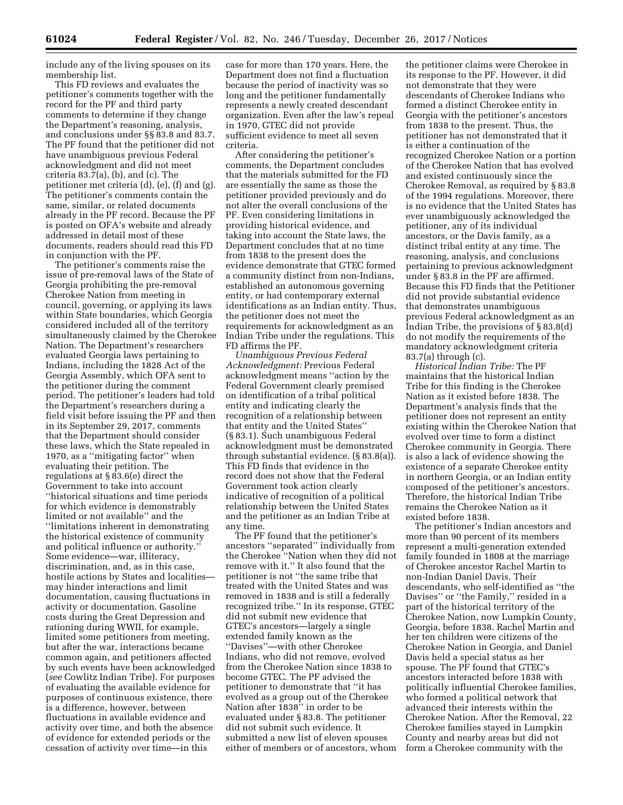include any of the living spouses on its membership list.

This FD reviews and evaluates the petitioner's comments together with the record for the PF and third party comments to determine if they change the Department's reasoning, analysis, and conclusions under §§ 83.8 and 83.7. The PF found that the petitioner did not have unambiguous previous Federal acknowledgment and did not meet criteria 83.7(a), (b), and (c). The petitioner met criteria (d), (e), (f) and (g). The petitioner's comments contain the same, similar, or related documents already in the PF record. Because the PF is posted on OFA's website and already addressed in detail most of these documents, readers should read this FD in conjunction with the PF.

The petitioner's comments raise the issue of pre-removal laws of the State of Georgia prohibiting the pre-removal Cherokee Nation from meeting in council, governing, or applying its laws within State boundaries, which Georgia considered included all of the territory simultaneously claimed by the Cherokee Nation. The Department's researchers evaluated Georgia laws pertaining to Indians, including the 1828 Act of the Georgia Assembly, which OFA sent to the petitioner during the comment period. The petitioner's leaders had told the Department's researchers during a field visit before issuing the PF and then in its September 29, 2017, comments that the Department should consider these laws, which the State repealed in 1970, as a ''mitigating factor'' when evaluating their petition. The regulations at § 83.6(e) direct the Government to take into account ''historical situations and time periods for which evidence is demonstrably limited or not available'' and the ''limitations inherent in demonstrating the historical existence of community and political influence or authority.'' Some evidence—war, illiteracy, discrimination, and, as in this case, hostile actions by States and localities may hinder interactions and limit documentation, causing fluctuations in activity or documentation. Gasoline costs during the Great Depression and rationing during WWII, for example, limited some petitioners from meeting, but after the war, interactions became common again, and petitioners affected by such events have been acknowledged (*see* Cowlitz Indian Tribe). For purposes of evaluating the available evidence for purposes of continuous existence, there is a difference, however, between fluctuations in available evidence and activity over time, and both the absence of evidence for extended periods or the cessation of activity over time—in this

case for more than 170 years. Here, the Department does not find a fluctuation because the period of inactivity was so long and the petitioner fundamentally represents a newly created descendant organization. Even after the law's repeal in 1970, GTEC did not provide sufficient evidence to meet all seven criteria.

After considering the petitioner's comments, the Department concludes that the materials submitted for the FD are essentially the same as those the petitioner provided previously and do not alter the overall conclusions of the PF. Even considering limitations in providing historical evidence, and taking into account the State laws, the Department concludes that at no time from 1838 to the present does the evidence demonstrate that GTEC formed a community distinct from non-Indians, established an autonomous governing entity, or had contemporary external identifications as an Indian entity. Thus, the petitioner does not meet the requirements for acknowledgment as an Indian Tribe under the regulations. This FD affirms the PF.

*Unambiguous Previous Federal Acknowledgment:* Previous Federal acknowledgment means ''action by the Federal Government clearly premised on identification of a tribal political entity and indicating clearly the recognition of a relationship between that entity and the United States'' (§ 83.1). Such unambiguous Federal acknowledgment must be demonstrated through substantial evidence. (§ 83.8(a)). This FD finds that evidence in the record does not show that the Federal Government took action clearly indicative of recognition of a political relationship between the United States and the petitioner as an Indian Tribe at any time.

The PF found that the petitioner's ancestors ''separated'' individually from the Cherokee ''Nation when they did not remove with it.'' It also found that the petitioner is not ''the same tribe that treated with the United States and was removed in 1838 and is still a federally recognized tribe.'' In its response, GTEC did not submit new evidence that GTEC's ancestors—largely a single extended family known as the ''Davises''—with other Cherokee Indians, who did not remove, evolved from the Cherokee Nation since 1838 to become GTEC. The PF advised the petitioner to demonstrate that ''it has evolved as a group out of the Cherokee Nation after 1838'' in order to be evaluated under § 83.8. The petitioner did not submit such evidence. It submitted a new list of eleven spouses either of members or of ancestors, whom

the petitioner claims were Cherokee in its response to the PF. However, it did not demonstrate that they were descendants of Cherokee Indians who formed a distinct Cherokee entity in Georgia with the petitioner's ancestors from 1838 to the present. Thus, the petitioner has not demonstrated that it is either a continuation of the recognized Cherokee Nation or a portion of the Cherokee Nation that has evolved and existed continuously since the Cherokee Removal, as required by § 83.8 of the 1994 regulations. Moreover, there is no evidence that the United States has ever unambiguously acknowledged the petitioner, any of its individual ancestors, or the Davis family, as a distinct tribal entity at any time. The reasoning, analysis, and conclusions pertaining to previous acknowledgment under § 83.8 in the PF are affirmed. Because this FD finds that the Petitioner did not provide substantial evidence that demonstrates unambiguous previous Federal acknowledgment as an Indian Tribe, the provisions of § 83.8(d) do not modify the requirements of the mandatory acknowledgment criteria 83.7(a) through (c).

*Historical Indian Tribe:* The PF maintains that the historical Indian Tribe for this finding is the Cherokee Nation as it existed before 1838. The Department's analysis finds that the petitioner does not represent an entity existing within the Cherokee Nation that evolved over time to form a distinct Cherokee community in Georgia. There is also a lack of evidence showing the existence of a separate Cherokee entity in northern Georgia, or an Indian entity composed of the petitioner's ancestors. Therefore, the historical Indian Tribe remains the Cherokee Nation as it existed before 1838.

The petitioner's Indian ancestors and more than 90 percent of its members represent a multi-generation extended family founded in 1808 at the marriage of Cherokee ancestor Rachel Martin to non-Indian Daniel Davis. Their descendants, who self-identified as ''the Davises'' or ''the Family,'' resided in a part of the historical territory of the Cherokee Nation, now Lumpkin County, Georgia, before 1838. Rachel Martin and her ten children were citizens of the Cherokee Nation in Georgia, and Daniel Davis held a special status as her spouse. The PF found that GTEC's ancestors interacted before 1838 with politically influential Cherokee families, who formed a political network that advanced their interests within the Cherokee Nation. After the Removal, 22 Cherokee families stayed in Lumpkin County and nearby areas but did not form a Cherokee community with the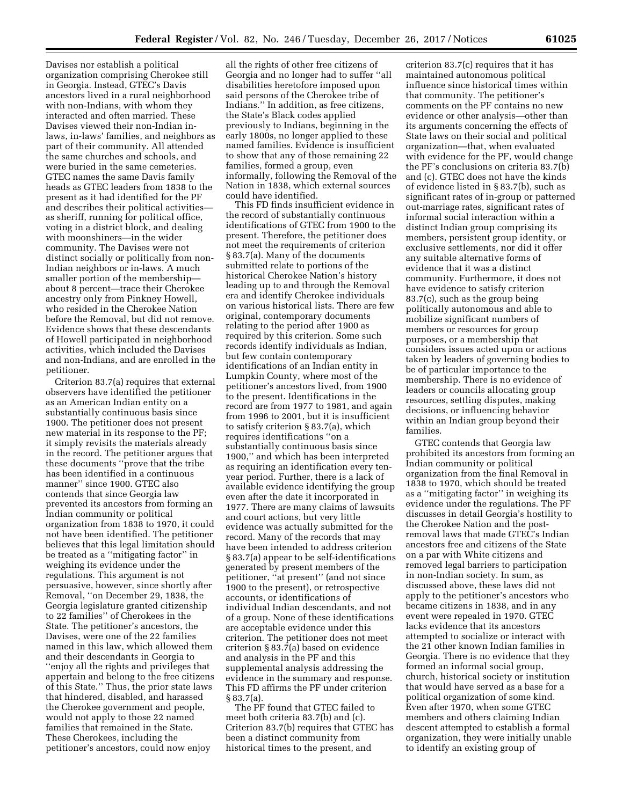Davises nor establish a political organization comprising Cherokee still in Georgia. Instead, GTEC's Davis ancestors lived in a rural neighborhood with non-Indians, with whom they interacted and often married. These Davises viewed their non-Indian inlaws, in-laws' families, and neighbors as part of their community. All attended the same churches and schools, and were buried in the same cemeteries. GTEC names the same Davis family heads as GTEC leaders from 1838 to the present as it had identified for the PF and describes their political activities as sheriff, running for political office, voting in a district block, and dealing with moonshiners—in the wider community. The Davises were not distinct socially or politically from non-Indian neighbors or in-laws. A much smaller portion of the membership about 8 percent—trace their Cherokee ancestry only from Pinkney Howell, who resided in the Cherokee Nation before the Removal, but did not remove. Evidence shows that these descendants of Howell participated in neighborhood activities, which included the Davises and non-Indians, and are enrolled in the petitioner.

Criterion 83.7(a) requires that external observers have identified the petitioner as an American Indian entity on a substantially continuous basis since 1900. The petitioner does not present new material in its response to the PF; it simply revisits the materials already in the record. The petitioner argues that these documents ''prove that the tribe has been identified in a continuous manner'' since 1900. GTEC also contends that since Georgia law prevented its ancestors from forming an Indian community or political organization from 1838 to 1970, it could not have been identified. The petitioner believes that this legal limitation should be treated as a ''mitigating factor'' in weighing its evidence under the regulations. This argument is not persuasive, however, since shortly after Removal, ''on December 29, 1838, the Georgia legislature granted citizenship to 22 families'' of Cherokees in the State. The petitioner's ancestors, the Davises, were one of the 22 families named in this law, which allowed them and their descendants in Georgia to ''enjoy all the rights and privileges that appertain and belong to the free citizens of this State.'' Thus, the prior state laws that hindered, disabled, and harassed the Cherokee government and people, would not apply to those 22 named families that remained in the State. These Cherokees, including the petitioner's ancestors, could now enjoy

all the rights of other free citizens of Georgia and no longer had to suffer ''all disabilities heretofore imposed upon said persons of the Cherokee tribe of Indians.'' In addition, as free citizens, the State's Black codes applied previously to Indians, beginning in the early 1800s, no longer applied to these named families. Evidence is insufficient to show that any of those remaining 22 families, formed a group, even informally, following the Removal of the Nation in 1838, which external sources could have identified.

This FD finds insufficient evidence in the record of substantially continuous identifications of GTEC from 1900 to the present. Therefore, the petitioner does not meet the requirements of criterion § 83.7(a). Many of the documents submitted relate to portions of the historical Cherokee Nation's history leading up to and through the Removal era and identify Cherokee individuals on various historical lists. There are few original, contemporary documents relating to the period after 1900 as required by this criterion. Some such records identify individuals as Indian, but few contain contemporary identifications of an Indian entity in Lumpkin County, where most of the petitioner's ancestors lived, from 1900 to the present. Identifications in the record are from 1977 to 1981, and again from 1996 to 2001, but it is insufficient to satisfy criterion § 83.7(a), which requires identifications ''on a substantially continuous basis since 1900,'' and which has been interpreted as requiring an identification every tenyear period. Further, there is a lack of available evidence identifying the group even after the date it incorporated in 1977. There are many claims of lawsuits and court actions, but very little evidence was actually submitted for the record. Many of the records that may have been intended to address criterion § 83.7(a) appear to be self-identifications generated by present members of the petitioner, ''at present'' (and not since 1900 to the present), or retrospective accounts, or identifications of individual Indian descendants, and not of a group. None of these identifications are acceptable evidence under this criterion. The petitioner does not meet criterion § 83.7(a) based on evidence and analysis in the PF and this supplemental analysis addressing the evidence in the summary and response. This FD affirms the PF under criterion § 83.7(a).

The PF found that GTEC failed to meet both criteria 83.7(b) and (c). Criterion 83.7(b) requires that GTEC has been a distinct community from historical times to the present, and

criterion 83.7(c) requires that it has maintained autonomous political influence since historical times within that community. The petitioner's comments on the PF contains no new evidence or other analysis—other than its arguments concerning the effects of State laws on their social and political organization—that, when evaluated with evidence for the PF, would change the PF's conclusions on criteria 83.7(b) and (c). GTEC does not have the kinds of evidence listed in § 83.7(b), such as significant rates of in-group or patterned out-marriage rates, significant rates of informal social interaction within a distinct Indian group comprising its members, persistent group identity, or exclusive settlements, nor did it offer any suitable alternative forms of evidence that it was a distinct community. Furthermore, it does not have evidence to satisfy criterion 83.7(c), such as the group being politically autonomous and able to mobilize significant numbers of members or resources for group purposes, or a membership that considers issues acted upon or actions taken by leaders of governing bodies to be of particular importance to the membership. There is no evidence of leaders or councils allocating group resources, settling disputes, making decisions, or influencing behavior within an Indian group beyond their families.

GTEC contends that Georgia law prohibited its ancestors from forming an Indian community or political organization from the final Removal in 1838 to 1970, which should be treated as a ''mitigating factor'' in weighing its evidence under the regulations. The PF discusses in detail Georgia's hostility to the Cherokee Nation and the postremoval laws that made GTEC's Indian ancestors free and citizens of the State on a par with White citizens and removed legal barriers to participation in non-Indian society. In sum, as discussed above, these laws did not apply to the petitioner's ancestors who became citizens in 1838, and in any event were repealed in 1970. GTEC lacks evidence that its ancestors attempted to socialize or interact with the 21 other known Indian families in Georgia. There is no evidence that they formed an informal social group, church, historical society or institution that would have served as a base for a political organization of some kind. Even after 1970, when some GTEC members and others claiming Indian descent attempted to establish a formal organization, they were initially unable to identify an existing group of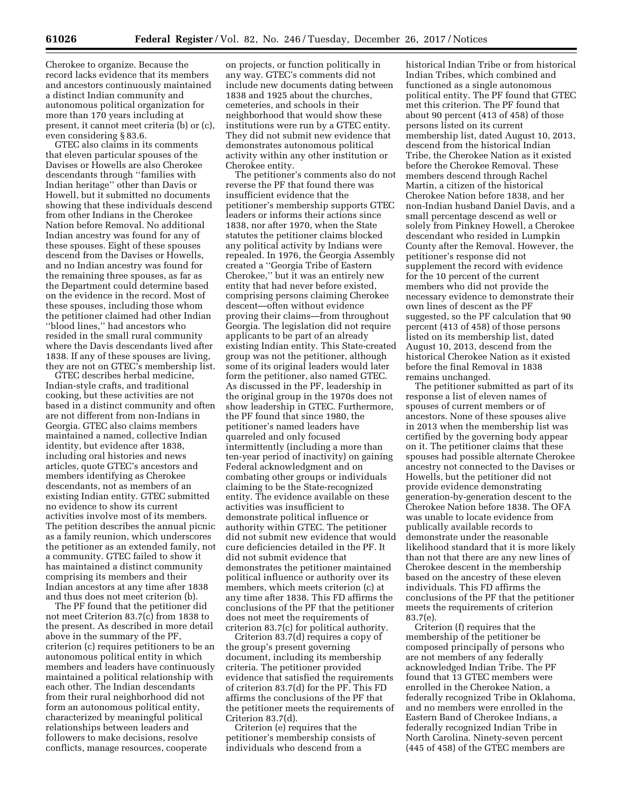Cherokee to organize. Because the record lacks evidence that its members and ancestors continuously maintained a distinct Indian community and autonomous political organization for more than 170 years including at present, it cannot meet criteria (b) or (c), even considering § 83.6.

GTEC also claims in its comments that eleven particular spouses of the Davises or Howells are also Cherokee descendants through ''families with Indian heritage'' other than Davis or Howell, but it submitted no documents showing that these individuals descend from other Indians in the Cherokee Nation before Removal. No additional Indian ancestry was found for any of these spouses. Eight of these spouses descend from the Davises or Howells, and no Indian ancestry was found for the remaining three spouses, as far as the Department could determine based on the evidence in the record. Most of these spouses, including those whom the petitioner claimed had other Indian ''blood lines,'' had ancestors who resided in the small rural community where the Davis descendants lived after 1838. If any of these spouses are living, they are not on GTEC's membership list.

GTEC describes herbal medicine, Indian-style crafts, and traditional cooking, but these activities are not based in a distinct community and often are not different from non-Indians in Georgia. GTEC also claims members maintained a named, collective Indian identity, but evidence after 1838, including oral histories and news articles, quote GTEC's ancestors and members identifying as Cherokee descendants, not as members of an existing Indian entity. GTEC submitted no evidence to show its current activities involve most of its members. The petition describes the annual picnic as a family reunion, which underscores the petitioner as an extended family, not a community. GTEC failed to show it has maintained a distinct community comprising its members and their Indian ancestors at any time after 1838 and thus does not meet criterion (b).

The PF found that the petitioner did not meet Criterion 83.7(c) from 1838 to the present. As described in more detail above in the summary of the PF, criterion (c) requires petitioners to be an autonomous political entity in which members and leaders have continuously maintained a political relationship with each other. The Indian descendants from their rural neighborhood did not form an autonomous political entity, characterized by meaningful political relationships between leaders and followers to make decisions, resolve conflicts, manage resources, cooperate

on projects, or function politically in any way. GTEC's comments did not include new documents dating between 1838 and 1925 about the churches, cemeteries, and schools in their neighborhood that would show these institutions were run by a GTEC entity. They did not submit new evidence that demonstrates autonomous political activity within any other institution or Cherokee entity.

The petitioner's comments also do not reverse the PF that found there was insufficient evidence that the petitioner's membership supports GTEC leaders or informs their actions since 1838, nor after 1970, when the State statutes the petitioner claims blocked any political activity by Indians were repealed. In 1976, the Georgia Assembly created a ''Georgia Tribe of Eastern Cherokee,'' but it was an entirely new entity that had never before existed, comprising persons claiming Cherokee descent—often without evidence proving their claims—from throughout Georgia. The legislation did not require applicants to be part of an already existing Indian entity. This State-created group was not the petitioner, although some of its original leaders would later form the petitioner, also named GTEC. As discussed in the PF, leadership in the original group in the 1970s does not show leadership in GTEC. Furthermore, the PF found that since 1980, the petitioner's named leaders have quarreled and only focused intermittently (including a more than ten-year period of inactivity) on gaining Federal acknowledgment and on combating other groups or individuals claiming to be the State-recognized entity. The evidence available on these activities was insufficient to demonstrate political influence or authority within GTEC. The petitioner did not submit new evidence that would cure deficiencies detailed in the PF. It did not submit evidence that demonstrates the petitioner maintained political influence or authority over its members, which meets criterion (c) at any time after 1838. This FD affirms the conclusions of the PF that the petitioner does not meet the requirements of criterion 83.7(c) for political authority.

Criterion 83.7(d) requires a copy of the group's present governing document, including its membership criteria. The petitioner provided evidence that satisfied the requirements of criterion 83.7(d) for the PF. This FD affirms the conclusions of the PF that the petitioner meets the requirements of Criterion 83.7(d).

Criterion (e) requires that the petitioner's membership consists of individuals who descend from a

historical Indian Tribe or from historical Indian Tribes, which combined and functioned as a single autonomous political entity. The PF found that GTEC met this criterion. The PF found that about 90 percent (413 of 458) of those persons listed on its current membership list, dated August 10, 2013, descend from the historical Indian Tribe, the Cherokee Nation as it existed before the Cherokee Removal. These members descend through Rachel Martin, a citizen of the historical Cherokee Nation before 1838, and her non-Indian husband Daniel Davis, and a small percentage descend as well or solely from Pinkney Howell, a Cherokee descendant who resided in Lumpkin County after the Removal. However, the petitioner's response did not supplement the record with evidence for the 10 percent of the current members who did not provide the necessary evidence to demonstrate their own lines of descent as the PF suggested, so the PF calculation that 90 percent (413 of 458) of those persons listed on its membership list, dated August 10, 2013, descend from the historical Cherokee Nation as it existed before the final Removal in 1838 remains unchanged.

The petitioner submitted as part of its response a list of eleven names of spouses of current members or of ancestors. None of these spouses alive in 2013 when the membership list was certified by the governing body appear on it. The petitioner claims that these spouses had possible alternate Cherokee ancestry not connected to the Davises or Howells, but the petitioner did not provide evidence demonstrating generation-by-generation descent to the Cherokee Nation before 1838. The OFA was unable to locate evidence from publically available records to demonstrate under the reasonable likelihood standard that it is more likely than not that there are any new lines of Cherokee descent in the membership based on the ancestry of these eleven individuals. This FD affirms the conclusions of the PF that the petitioner meets the requirements of criterion 83.7(e).

Criterion (f) requires that the membership of the petitioner be composed principally of persons who are not members of any federally acknowledged Indian Tribe. The PF found that 13 GTEC members were enrolled in the Cherokee Nation, a federally recognized Tribe in Oklahoma, and no members were enrolled in the Eastern Band of Cherokee Indians, a federally recognized Indian Tribe in North Carolina. Ninety-seven percent (445 of 458) of the GTEC members are